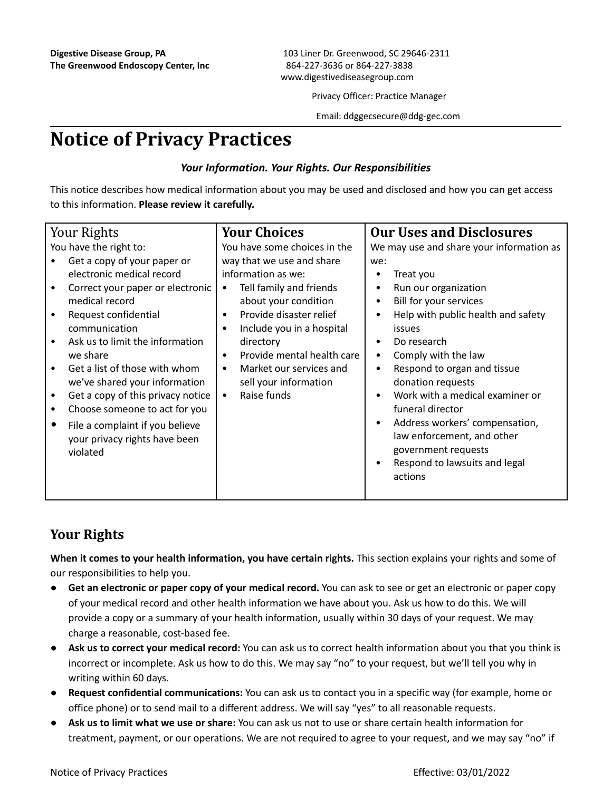**Digestive Disease Group, PA** 103 Liner Dr. Greenwood, SC 29646-2311 www.digestivediseasegroup.com

Privacy Officer: Practice Manager

Email: ddggecsecure@ddg-gec.com

# **Notice of Privacy Practices**

#### *Your Information. Your Rights. Our Responsibilities*

This notice describes how medical information about you may be used and disclosed and how you can get access to this information. **Please review it carefully.**

# **Your Rights**

**When it comes to your health information, you have certain rights.** This section explains your rights and some of our responsibilities to help you.

- **Get an electronic or paper copy of your medical record.** You can ask to see or get an electronic or paper copy of your medical record and other health information we have about you. Ask us how to do this. We will provide a copy or a summary of your health information, usually within 30 days of your request. We may charge a reasonable, cost-based fee.
- **Ask us to correct your medical record:** You can ask us to correct health information about you that you think is incorrect or incomplete. Ask us how to do this. We may say "no" to your request, but we'll tell you why in writing within 60 days.
- **Request confidential communications:** You can ask us to contact you in a specific way (for example, home or office phone) or to send mail to a different address. We will say "yes" to all reasonable requests.
- **Ask us to limit what we use or share:** You can ask us not to use or share certain health information for treatment, payment, or our operations. We are not required to agree to your request, and we may say "no" if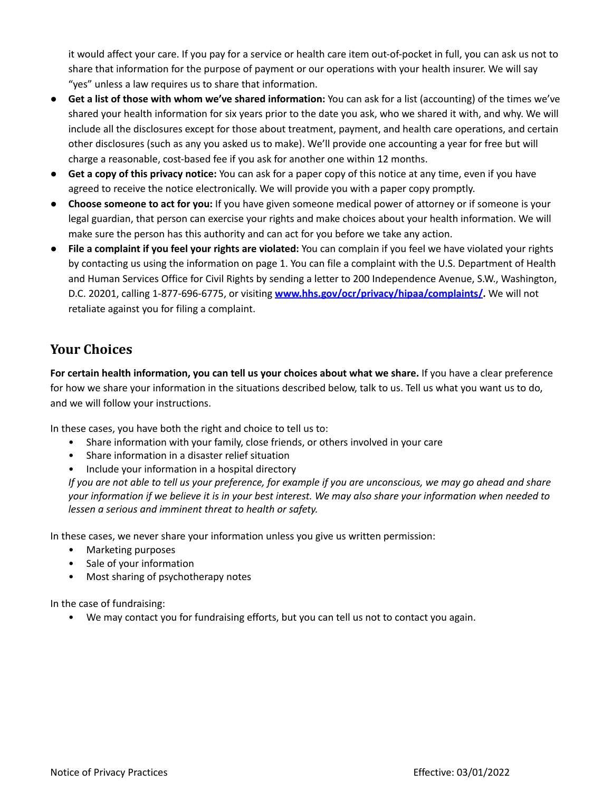it would affect your care. If you pay for a service or health care item out-of-pocket in full, you can ask us not to share that information for the purpose of payment or our operations with your health insurer. We will say "yes" unless a law requires us to share that information.

- **Get a list of those with whom we've shared information:** You can ask for a list (accounting) of the times we've shared your health information for six years prior to the date you ask, who we shared it with, and why. We will include all the disclosures except for those about treatment, payment, and health care operations, and certain other disclosures (such as any you asked us to make). We'll provide one accounting a year for free but will charge a reasonable, cost-based fee if you ask for another one within 12 months.
- **Get a copy of this privacy notice:** You can ask for a paper copy of this notice at any time, even if you have agreed to receive the notice electronically. We will provide you with a paper copy promptly.
- **Choose someone to act for you:** If you have given someone medical power of attorney or if someone is your legal guardian, that person can exercise your rights and make choices about your health information. We will make sure the person has this authority and can act for you before we take any action.
- **File a complaint if you feel your rights are violated:** You can complain if you feel we have violated your rights by contacting us using the information on page 1. You can file a complaint with the U.S. Department of Health and Human Services Office for Civil Rights by sending a letter to 200 Independence Avenue, S.W., Washington, D.C. 20201, calling 1-877-696-6775, or visiting **[www.hhs.gov/ocr/privacy/hipaa/complaints/](http://www.hhs.gov/ocr/privacy/hipaa/complaints/).** We will not retaliate against you for filing a complaint.

## **Your Choices**

**For certain health information, you can tell us your choices about what we share.** If you have a clear preference for how we share your information in the situations described below, talk to us. Tell us what you want us to do, and we will follow your instructions.

In these cases, you have both the right and choice to tell us to:

- Share information with your family, close friends, or others involved in your care
- Share information in a disaster relief situation
- Include your information in a hospital directory

If you are not able to tell us your preference, for example if you are unconscious, we may go ahead and share your information if we believe it is in your best interest. We may also share your information when needed to *lessen a serious and imminent threat to health or safety.*

In these cases, we never share your information unless you give us written permission:

- Marketing purposes
- Sale of your information
- Most sharing of psychotherapy notes

In the case of fundraising:

• We may contact you for fundraising efforts, but you can tell us not to contact you again.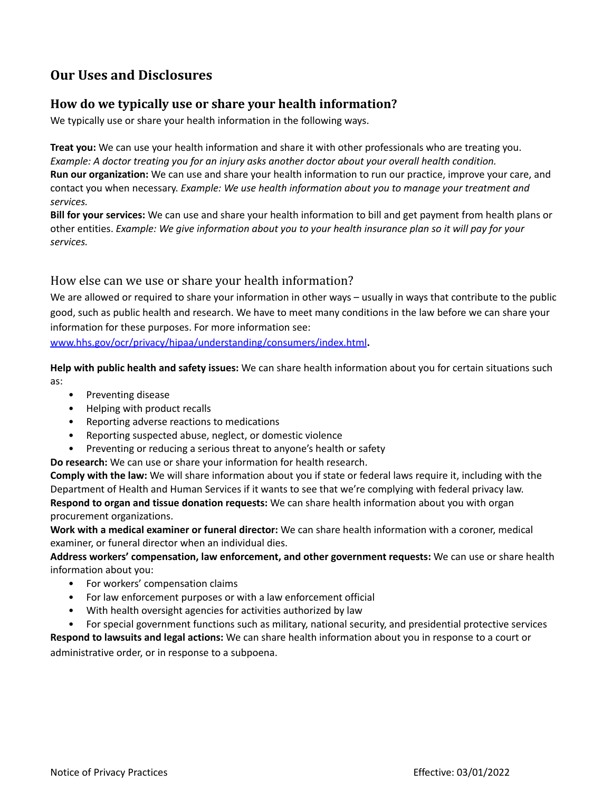# **Our Uses and Disclosures**

## **How do we typically use or share your health information?**

We typically use or share your health information in the following ways.

**Treat you:** We can use your health information and share it with other professionals who are treating you. *Example: A doctor treating you for an injury asks another doctor about your overall health condition.* **Run our organization:** We can use and share your health information to run our practice, improve your care, and contact you when necessary. *Example: We use health information about you to manage your treatment and services.*

**Bill for your services:** We can use and share your health information to bill and get payment from health plans or other entities. Example: We give information about you to your health insurance plan so it will pay for your *services.*

#### How else can we use or share your health information?

We are allowed or required to share your information in other ways – usually in ways that contribute to the public good, such as public health and research. We have to meet many conditions in the law before we can share your information for these purposes. For more information see:

[www.hhs.gov/ocr/privacy/hipaa/understanding/consumers/index.html](http://www.hhs.gov/ocr/privacy/hipaa/understanding/consumers/index.html)**.**

**Help with public health and safety issues:** We can share health information about you for certain situations such as:

- Preventing disease
- Helping with product recalls
- Reporting adverse reactions to medications
- Reporting suspected abuse, neglect, or domestic violence
- Preventing or reducing a serious threat to anyone's health or safety

**Do research:** We can use or share your information for health research.

**Comply with the law:** We will share information about you if state or federal laws require it, including with the Department of Health and Human Services if it wants to see that we're complying with federal privacy law. **Respond to organ and tissue donation requests:** We can share health information about you with organ procurement organizations.

**Work with a medical examiner or funeral director:** We can share health information with a coroner, medical examiner, or funeral director when an individual dies.

**Address workers' compensation, law enforcement, and other government requests:** We can use or share health information about you:

- For workers' compensation claims
- For law enforcement purposes or with a law enforcement official
- With health oversight agencies for activities authorized by law
- For special government functions such as military, national security, and presidential protective services

**Respond to lawsuits and legal actions:** We can share health information about you in response to a court or administrative order, or in response to a subpoena.